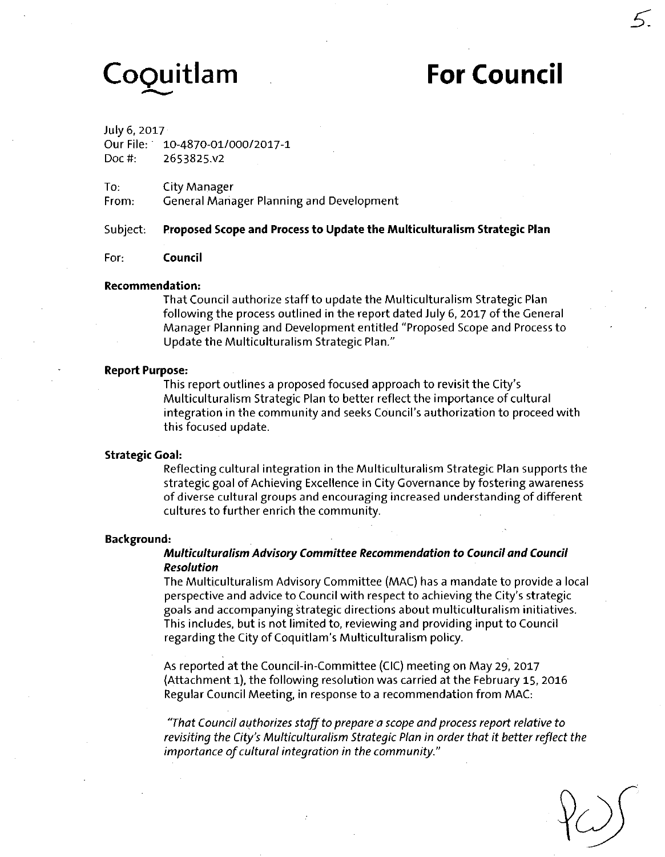# **CoQuitlam For Council**

**5:** 

July 6, 2017

Our File: 10-4870-01/000/2017-I Doc#: 2653825.V2

To: City Manager

From: General Manager Planning and Development

**Subject: Proposed Scope and Process to Update the Multiculturalism Strategic Plan** 

#### **For: Council**

#### **Recommendation:**

That Council authorize staff to update the Multiculturalism Strategic Plan following the process outlined in the report dated July 6, 2017 of the General Manager Planning and Development entitled "Proposed Scope and Process to Update the Multiculturalism Strategic Plan."

#### **Report Purpose:**

This report outlines a proposed focused approach to revisit the City's Multiculturalism Strategic Plan to better reflect the importance of cultural integration in the community and seeks Council's authorization to proceed with this focused update.

#### **Strategic Goal:**

Reflecting cultural integration in the Multiculturalism Strategic Plan supports the strategic goal of Achieving Excellence in City Governance by fostering awareness of diverse cultural groups and encouraging increased understanding of different cultures to further enrich the community.

#### **Background:**

#### **Multiculturalism Advisory Committee Recommendation to Councii and Council Resolution**

The Multiculturalism Advisory Committee (MAC) has a mandate to provide a local perspective and advice to Council with respect to achieving the City's strategic goals and accompanying strategic directions about multiculturalism initiatives. This includes, but is not limited to, reviewing and providing input to Council regarding the City of Coquitlam's Multiculturalism policy.

As reported at the Council-in-Committee (CIC) meeting on May 29, 2017 (Attachment 1), the following resolution was carried at the February 15, 2016 Regular Council Meeting, in response to a recommendation from MAC:

"That Council authorizes staff to prepare a scope and process report relative to revisiting the City's Multiculturalism Strategic Plan in order that it better reflect the importance of cultural integration in the community."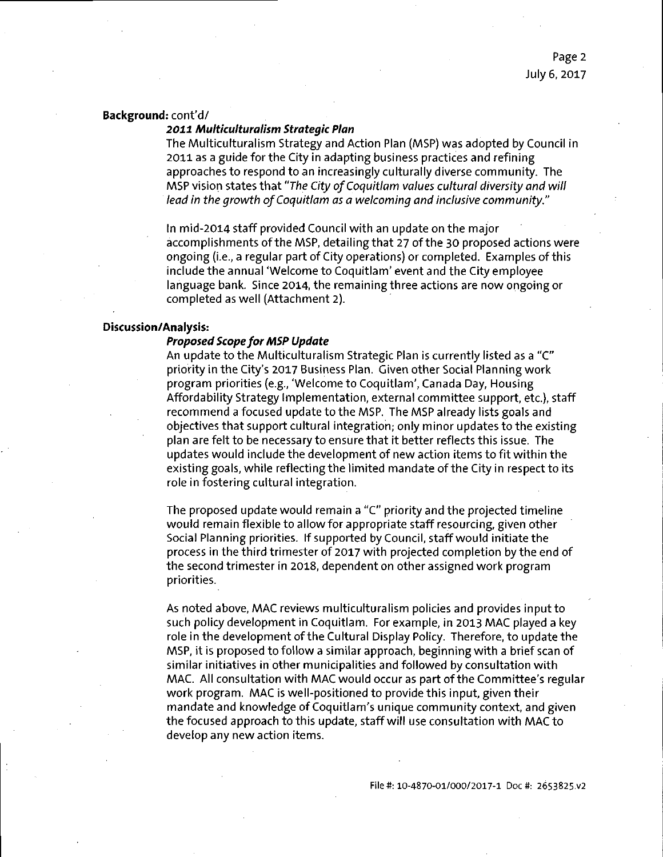#### Background: cont'd/

#### **2011 AAulticulturalism Strategic Plan**

The Multiculturalism Strategy and Action Plan (MSP) was adopted by Council in 2011 as a guide for the City in adapting business practices and refining approaches to respond to an increasingly culturally diverse community. The MSP vision states that "The City of Coquitlam values cultural diversity and will lead in the growth of Coquitlam as a welcoming and inclusive community."

In mid-2014 staff provided Council with an update on the major accomplishments of the MSP, detailing that 27 of the 30 proposed actions were ongoing (i.e., a regular part of City operations) or completed. Examples of this include the annual 'Welcome to Coquitlam' event and the City employee language bank. Since 2014, the remaining three actions are now ongoing or completed as well (Attachment 2).

#### **Discussion/Analysis:**

#### **Proposed Scope for MSP Update**

An update to the Multiculturalism Strategic Plan is currently listed as a "C" priority in the City's 2017 Business Plan. Given other Social Planning work program priorities (e.g., 'Welcome to Coquitlam', Canada Day, Housing Affordability Strategy Implementation, external committee support, etc.), staff recommend a focused update to the MSP. The MSP already lists goals and objectives that support cultural integration; only minor updates to the existing plan are felt to be necessary to ensure that it better reflects this issue. The updates would include the development of new action items to fit within the existing goals, while reflecting the limited mandate of the City in respect to its role in fostering cultural integration.

The proposed update would remain a "C" priority and the projected timeline would remain flexible to allow for appropriate staff resourcing, given other Social Planning priorities. If supported by Council, staff would initiate the process in the third trimester of 2017 with projected completion by the end of the second trimester in 2018, dependent on other assigned work program priorities.

As noted above, MAC reviews multiculturalism policies and provides input to such policy development in Coquitlam. For example, in 2013 MAC played a key role in the development of the Cultural Display Policy. Therefore, to update the MSP, it is proposed to follow a similar approach, beginning with a brief scan of similar initiatives in other municipalities and followed by consultation with MAC. All consultation with MAC would occur as part of the Committee's regular work program. MAC is well-positioned to provide this input, given their mandate and knowledge of Coquitlam's unique community context, and given the focused approach to this update, staff will use consultation with MAC to develop any new action items.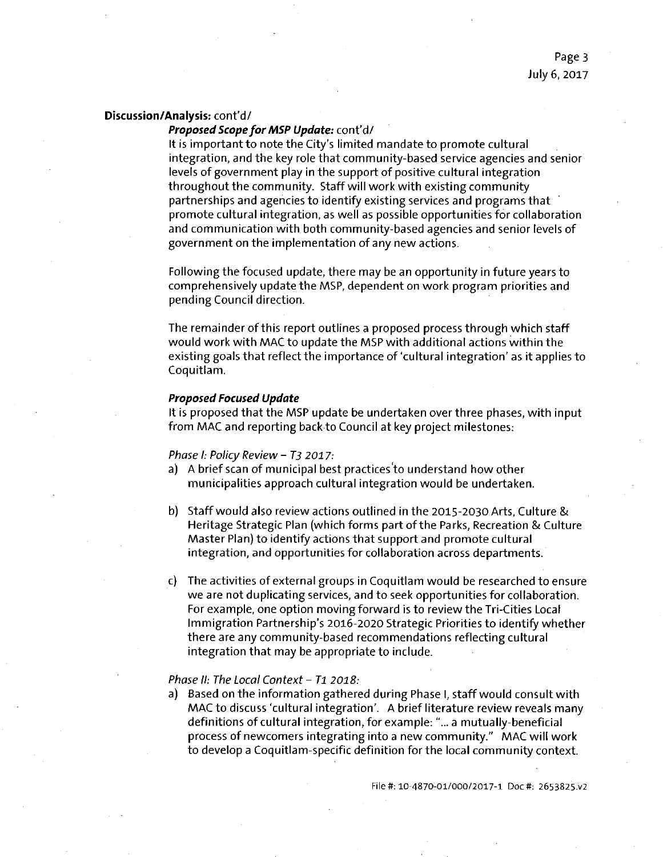#### Proposed Scope for MSP Update: cont'd/

It is important to note the City's limited mandate to promote cultural integration, and the key role that community-based service agencies and senior levels of government play in the support of positive cultural integration throughout the community. Staff will work with existing community partnerships and agencies to identify existing services and programs that promote cultural integration, as well as possible opportunities for collaboration and communication with, both community-based agencies and senior levels of government on the implementation of any new actions.

Following the focused update, there may be an opportunity in future years to comprehensively update the MSP, dependent on work program priorities and pending Council direction.

The remainder of this report outlines a proposed process through which staff would work with MAC to update the MSP with additional actions within the existing goals that reflect the importance of'cultural integration' as it applies to Coquitlam.

#### **Proposed Focused Update**

It is proposed that the MSP update be undertaken over three phases, with input from MAC and reporting back to Council at key project milestones:

#### Phase I: Policy Review - T3 2017:

- a) A brief scan of municipal best practices'to understand how other municipalities approach cultural integration would be undertaken.
- b) Staff would also review actions outlined in the 2015-2030 Arts, Culture & Heritage Strategic Plan (which forms part of the Parks, Recreation & Culture Master Plan) to identify actions that support and promote cultural integration, and opportunities for collaboration across departments.
- c) The activities of external groups in Coquitlam would be researched to ensure we are not duplicating services, and to seek opportunities for collaboration. For example, one option moving forward is to review the Tri-Cities Local Immigration Partnership's 2016-2020 Strategic Priorities to identify whether there are any community-based recommendations reflecting cultural integration that may be appropriate to include.

#### Phase II: The Local Context - T1 2018:

a) Based on the information gathered during Phase I, staff would consult with MAC to discuss 'cultural integration'. A brief literature review reveals many definitions of cultural integration, for example: "... a mutually-beneficial process of newcomers integrating into a new community." MAC will work to develop a Coquitlam-specific definition for the local community context.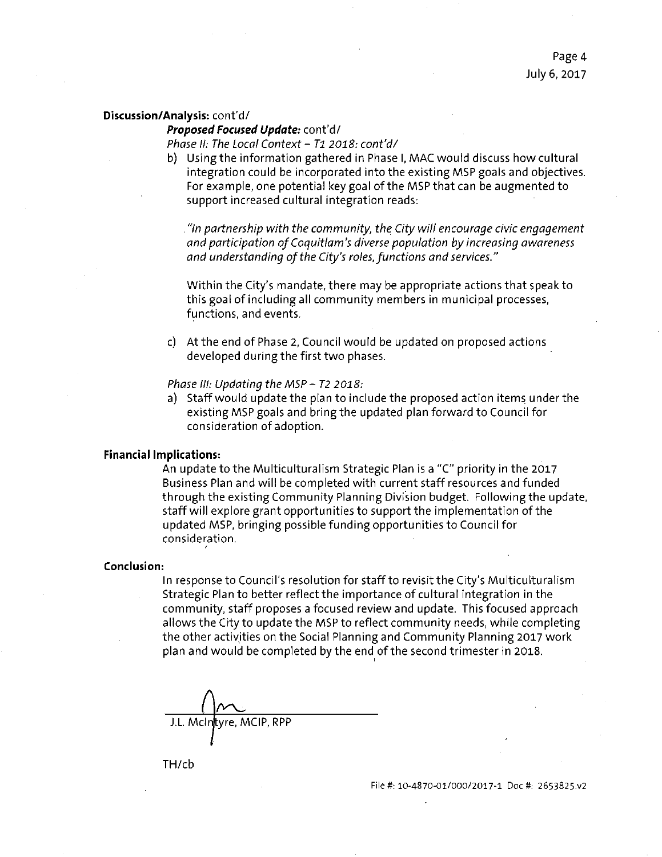Proposed Focused Update: cont'd/

Phase II: The Local Context - T1 2018: cont'd/

b) Using the information gathered in Phase I, MAC would discuss how cultural integration could be incorporated into the existing MSP goals and objectives. For example, one potential key goal of the MSP that can be augmented to support increased cultural integration reads:

. "In partnership with the community, the City will encourage civic engagement and participation of Coquitlam's diverse population by increasing awareness and understanding of the City's roles, functions and services."

Within the City's mandate, there may be appropriate actions that speak to this goal of including all community members in municipal processes, functions, and events.

c) At the end of Phase 2, Council would be updated on proposed actions developed during the first two phases.

Phase III: Updating the MSP - T2 2018:

a) Staff would update the plan to include the proposed action items under the existing MSP goals and bring the updated plan forward to Council for consideration of adoption.

#### **Financial Implications:**

An update to the Multiculturalism Strategic Plan is a "C" priority in the 2017 Business Plan and will be completed with current staff resources and funded through the existing Community Planning Division budget. Following the update, staff will explore grant opportunities to support the implementation of the updated MSP, bringing possible funding opportunities to Council for consideration.

#### **Conclusion:**

In response to Council's resolution for staff to revisit the City's Multiculturalism Strategic Plan to better reflect the importance of cultural integration in the community, staff proposes a focused review and update. This focused approach allows the City to update the MSP to reflect community needs, while completing the other activities on the Social Planning and Community Planning 2017 work plan and would be completed by the end of the second trimester in 2018.

<u>r </u> MCIP, RPP

TH/cb

File#: 10-4870-01/000/2017-1 Doc #: 2653825.V2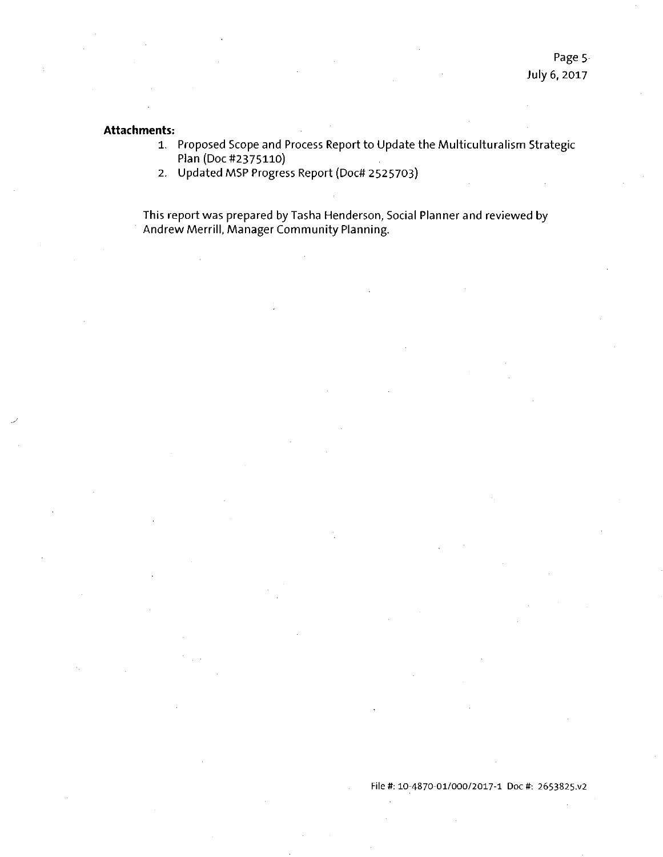#### **Attachments:**

- 1. Proposed Scope and Process Report to Update the Multiculturalism Strategic Plan (Doc #2375110)
- 2. Updated MSP Progress Report (Doc# 2525703)

This report was prepared by Tasha Henderson, Social Planner and reviewed by Andrew Merrill, Manager Community Planning.

#### File#; 10-4870-01/000/2017-1 Doc #: 2653825.V2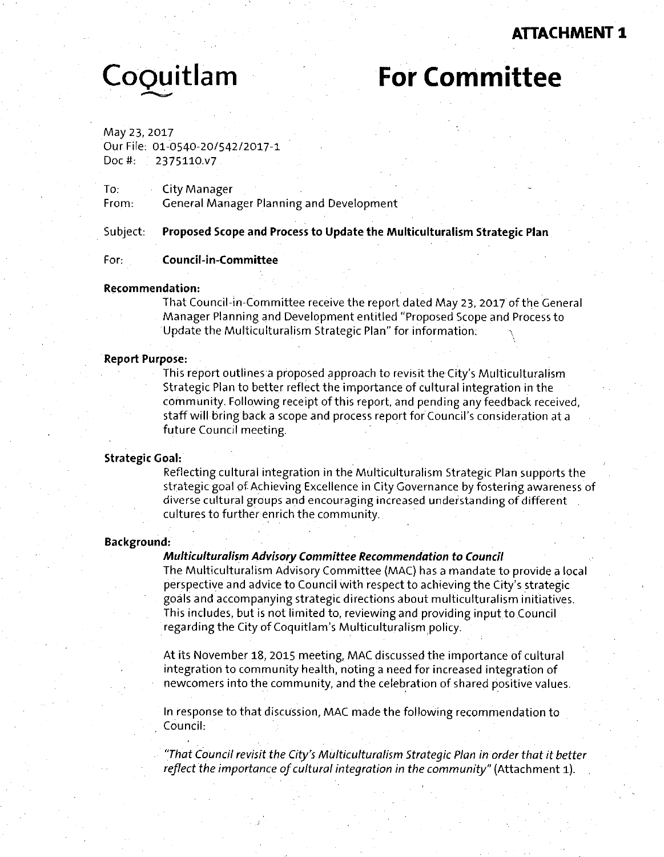# **ATTACHMENT 1**

# **CoOuitlam For Committee**

May 23, 2017 Our File: 01-0540-20/542/2017-1 Doc#: 2375110.V7

To: City Manager ^ From: General Manager Planning and Development

**Subject: Proposed Scope and Process to Update the Multiculturalism Strategic Plan** 

#### **For: Council-in-Committee**

#### **Recommendation:**

That Council-in-Committee receive the report dated May 23, 2017 of the General Manager Planning and Development entitled "Proposed Scope and Process to Update the Multiculturalism Strategic Plan" for information: \

#### **Report Purpose:**

This report outlines a proposed approach to revisit the City's Multiculturalism Strategic Plan to better reflect the importance of cultural integration in the community. Following receipt of this report, and pending any feedback received, staff will bring back a scope and process report for Council's consideration at a future Council meeting.

#### **Strategic Goal:**

Reflecting cultural integration in the Multiculturalism Strategic Plan supports the strategic goal of Achieving Excellence in City Governance by fostering awareness of diverse cultural groups and encouraging increased understanding of different cultures to further enrich the community.

#### **Background:**

#### **Multiculturalism Advisory Committee Recommendation to Council**

The Multiculturalism Advisory Committee (MAC) has a mandate to provide a local perspective and advice to Council with respect to achieving the City's strategic goals and accompanying strategic directions about multiculturalism initiatives. This includes, but is not limited to, reviewing and providing input to Council regarding the City of Coquitlam's Multiculturalism policy.

At its November 18, 2015 meeting, MAC discussed the importance of cultural integration to community health, noting a need for increased integration of newcomers into the community, and the celebration of shared positive values.

In response to that discussion, MAC made the following recommendation to Council:

"That Council revisit the City's Multiculturalism Strategic Plan in order that it better reflect the importance of cultural integration in the community" (Attachment l).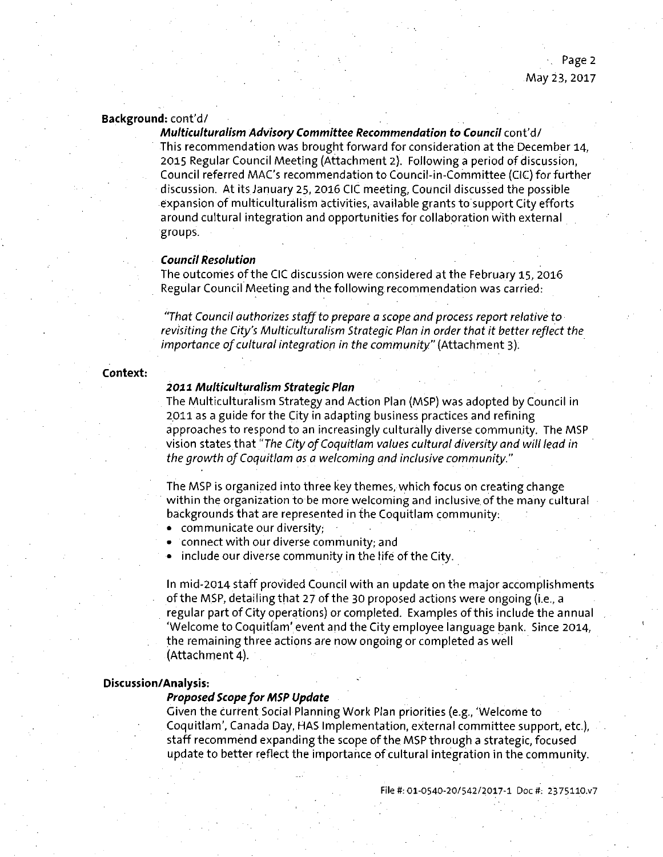#### Background: cont'd/

Multiculturalism Advisory Committee Recommendation to Council cont'd/ This recommendation was brought forward for consideration at the December 14, 2015 Regular Council Meeting (Attachment 2). Following a period of discussion, Council referred MAC'S recommendation to Council-in-Committee (CIC) for further discussion. At its January 25, 2016 CIC meeting, Council discussed the possible expansion of multiculturalism activities, available grants to support City efforts around cultural integration and opportunities for collaboration with external groups.

#### **Council Resolution**

The outcomes of the CIC discussion were considered at the February 15, 2016 Regular Council Meeting and the following recommendation was carried:

"That Council authorizes staff to prepare a scope and process report relative to revisiting the City's Multiculturalism Strategic Plan in order that it better reflect the importance of cultural integration in the community" (Attachment 3).

#### **Context:**

#### **2011 Multiculturalism Strategic Plan**

The Multiculturalism Strategy and Action Plan (MSP) was adopted by Council in 2011 as a guide for the City in adapting business practices and refining approaches to respond to an increasingly culturally diverse community. The MSP vision states that "The City of Coquitlam values cultural diversity and will lead in the growth of Coquitlam as a welcoming and inclusive community."

The MSP is organized into three key themes, which focus on creating change within the organization to be more welcoming and inclusive of the many cultural backgrounds that are represented in the Coquitlam community:

- communicate our diversity;
- connect with our diverse community; and
- include our diverse community in the life of the City.

In mid-2014 staff provided Council with an update on the major accomplishments of the MSP, detailing that 27 of the 30 proposed actions were ongoing (i.e., a regular part of City operations) or completed. Examples of this include the annual 'Welcome to Coquitlam'event and the City employee language bank. Since 2014, the remaining three actions are now ongoing or completed as well (Attachment 4).

#### **Discussion/Analysis:**

#### **Proposed Scope for MSP Update**

Given the current Social Planning Work Plan priorities (e.g., 'Welcome to Coquitlam', Canada Day, HAS Implementation, external committee support, etc.), staff recommend expanding the scope of the MSP through a strategic, focused update to better reflect the importance of cultural integration in the community.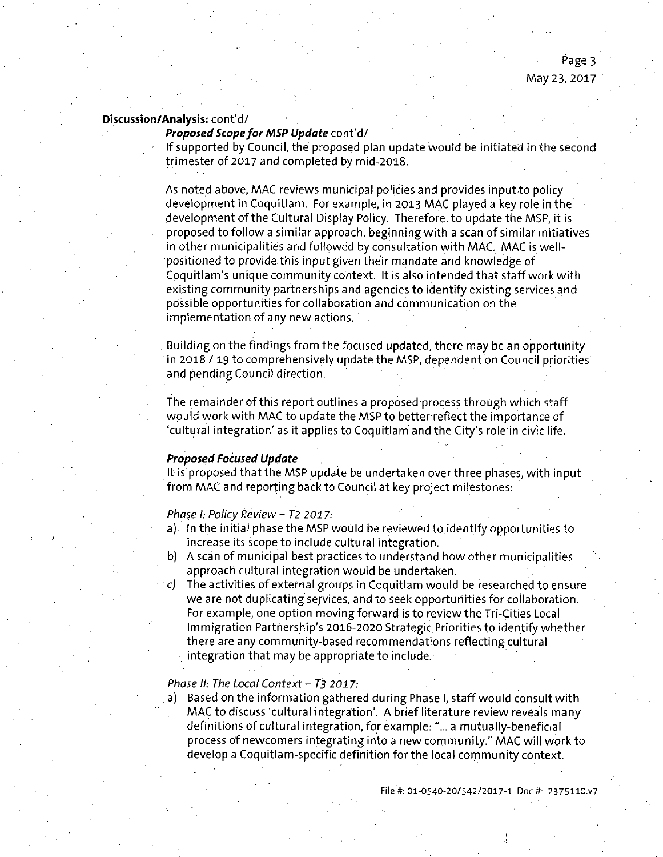### Proposed Scope for MSP Update cont'd/

If supported by Council, the proposed plan update would be initiated in the second trimester of 2017 and completed by mid-2018.

As noted above, MAC reviews municipal policies and provides input to policy development in Coquitlam. For example, in 2013 MAC played a key role in the development of the Cultural Display Policy. Therefore, to update the MSP, it is proposed to follow a similar approach, beginning with a scan of similar initiatives in other municipalities and followed by consultation with MAC. MAC is wellpositioned to provide this input given their mandate and knowledge of Coquitlam's unique community context. It is also intended that staff work with existing community partnerships and agencies to identify existing services and possible opportunities for collaboration and communication on the implementation of any new actions.

Building on the findings from the focused updated, there may be an opportunity in 2018 / 19 to comprehensively update the MSP, dependent on Council priorities and pending Council direction.

The remainder of this report outlines a proposed process through which staff would work with MAC to update the MSP to better reflect the importance of 'cultural integration' as it applies to Coquitlam and the City's role in civic life.

#### **Proposed Focused Update**

It is proposed that the MSP update be undertaken over three phases, with input from MAC and reporting back to Council at key project milestones:

#### Phase I: Policy Review - T2 2017:

- a) In the initial phase the MSP would be reviewed to identify opportunities to increase its scope to include cultural integration.
- b) A scan of municipal best practices to understand how other municipalities approach cultural integration would be undertaken.
- $c)$  The activities of external groups in Coquitlam would be researched to ensure we are not duplicating services, and to seek opportunities for collaboration. For example, one option moving forward is to review the Tri-Cities Local Immigration Partnership's 2016-2020 Strategic Priorities to identify whether there are any community-based recommendations reflecting cultural integration that may be appropriate to include.

#### Phase II: The Local Context -  $T_3$  2017:

a) Based on the information gathered during Phase I, staff would consult with MAC to discuss'cultural integration'. A brief literature review reveals many definitions of cultural integration, for example:"... a mutually-beneficial process of newcomers integrating into a new community." MAC will work to develop a Coquitlam-specific definition for the local community context.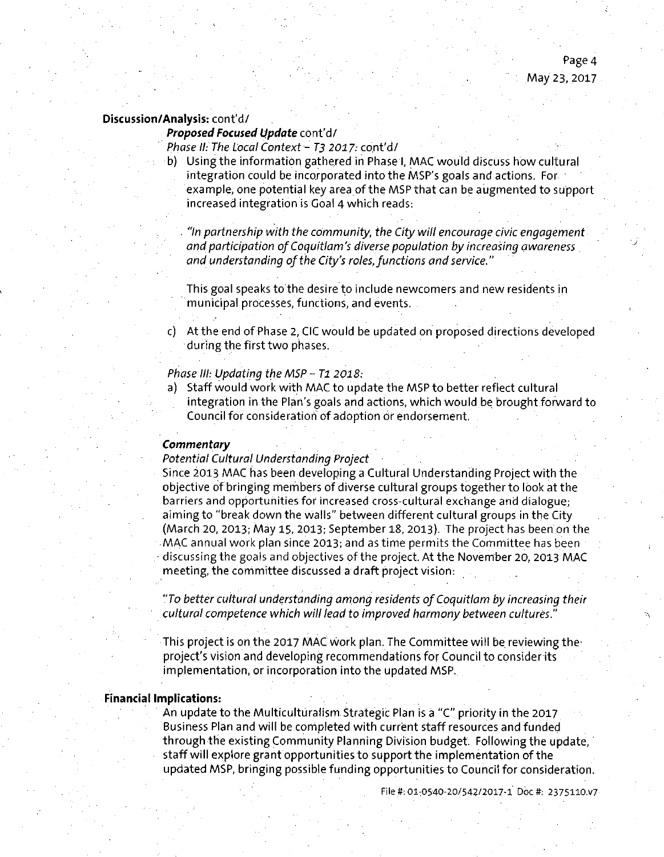#### Proposed Focused Update cont'd/

Phase II: The Local Context - T3 2017: cont'd/

Using the information gathered in Phase I, MAC would discuss how cultural integration could be incorporated into the MSP's goals and actions. For example, one potential key area of the MSP that can be augmented to support increased integration is Goal 4 which reads:

"In partnership with the community, the City will encourage civic engagement and participation of Coquitlam's diverse population by increasing awareness and understanding of the City's roles, functions and service."

This goal speaks to the desire to include newcomers and new residents in municipal processes, functions, and events.

c) At the end of Phase 2, CIC would be updated on proposed directions developed during the first two phases.

#### Phase III: Updating the MSP - T1 2018:

Staff would work with MAC to update the MSP to better reflect cultural integration in the Plan's goals and actions, which would be brought forward to Council for consideration of adoption or endorsement.

#### **Commentary**

#### Potential Cultural Understanding Project

Since 2013 MAG has been developing a Cultural Understanding Project with the objective of bringing members of diverse cultural groups together to look at the barriers and opportunities for increased cross-cultural exchange and dialogue; aiming to "break down the walls" between different cultural groups in the City (March 20, 2013; May 15, 2013; September 18, 2013). The project has been on the MAG annual work plan since 2013; and as time permits the Committee has been discussing the goals and objectives of the project. At the November 20, 2013 MAG meeting, the committee discussed a draft project vision:

"To better cultural understanding among residents ofCoquitlam by increasing their cultural competence which will lead to improved harmony between cultures."

This project is on the 2017 MAC work plan. The Committee will be reviewing theproject's vision and developing recommendations for Council to consider its implementation, or incorporation into the updated MSP.

#### **Financial Impiications:**

An update to the Multiculturalism Strategic Plan is a "G" priority in the 2017 Business Plan and will be completed with current staff resources and funded through the existing Community Planning Division budget. Following the update, staff will explore grant opportunities to support the implementation of the updated MSP, bringing possible funding opportunities to Council for consideration.

File #: 01:0540-20/542/2017-1 Doc#; 2375110.V7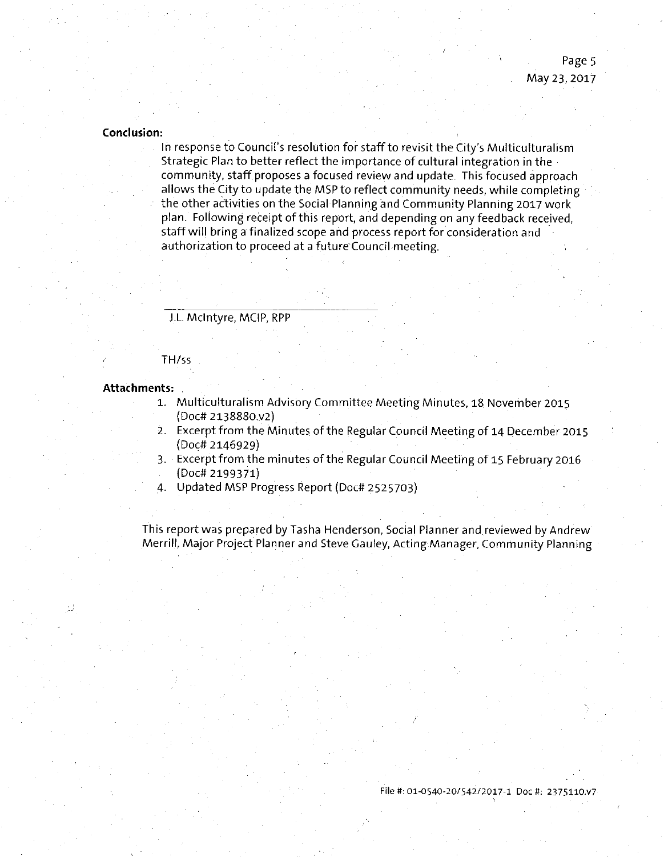#### **Conclusion:**

In response to Council's resolution for staff to revisit the City's Multiculturalisrh Strategic Plan to better reflect the importance of cultural integration in the community, staff proposes a focused review and update. This focused approach allows the City to update the MSP to reflect community needs, while completing the other activities on the Social Planning and Community Planning 2017 work plan. Following receipt of this report, and depending on any feedback received, staff will bring a finalized scope and process report for consideration and authorization to proceed at a future Council meeting.

J.L Mclntyre, MClP, RPP

#### TH/ss

#### **Attachments:**

- 1. Multiculturalism Advisory Committee Meeting Minutes, 18 November 2015 (Doc# 2138880.V2)
- 2. Excerpt from the Minutes of the Regular Council Meeting of 14 December 2015 (Doc# 2146929)
- 3. Excerpt from the minutes of the Regular Council Meeting of 15 February 2016
- (Doc# 2199371)
- 4. Updated MSP Progress Report (Doc# 2525703)

This report was prepared by Tasha Henderson, Social Planner and reviewed by Andrew Merrill, Major Project Planner and Steve Gauley, Acting Manager, Community Planning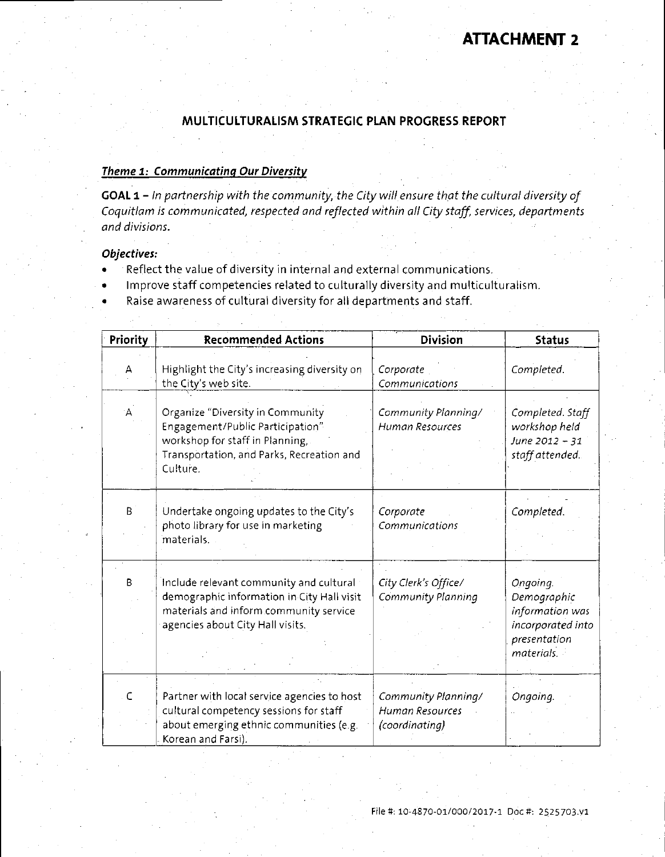# **ATTACHMENT 2**

### **MULTICULTURALISM STRATEGIC PLAN PROGRESS REPORT**

#### **Theme 1: Communicating Our Diversity**

GOAL 1 - In partnership with the community, the City will ensure that the cultural diversity of Coquitlam is communicated, respected and reflected within all City staff, services, departments and divisions.

#### **Objectives:**

- Reflect the value of diversity in internal and external communications.
- Improve staff competencies related to culturally diversity and multiculturalism,
- Raise awareness of cultural diversity for all departments and staff.

| Priority  | <b>Recommended Actions</b>                                                                                                                                          | <b>Division</b>                                          | <b>Status</b>                                                                                 |
|-----------|---------------------------------------------------------------------------------------------------------------------------------------------------------------------|----------------------------------------------------------|-----------------------------------------------------------------------------------------------|
| А         | Highlight the City's increasing diversity on<br>the City's web site.                                                                                                | Corporate<br>Communications                              | Completed.                                                                                    |
| A.        | Organize "Diversity in Community<br>Engagement/Public Participation"<br>workshop for staff in Planning,<br>Transportation, and Parks, Recreation and<br>Culture.    | Community Planning/<br>Human Resources                   | Completed. Staff<br>workshop held<br>June 2012 - 31<br>staff attended.                        |
| B         | Undertake ongoing updates to the City's<br>photo library for use in marketing<br>materials.                                                                         | Corporate<br>Communications                              | Completed.                                                                                    |
| B         | Include relevant community and cultural<br>demographic information in City Hall visit<br>materials and inform community service<br>agencies about City Hall visits. | City Clerk's Office/<br>Community Planning               | Ongoing.<br>Demographic<br>information was<br>incorporated into<br>presentation<br>materials. |
| $\subset$ | Partner with local service agencies to host<br>cultural competency sessions for staff<br>about emerging ethnic communities (e.g.<br>Korean and Farsi).              | Community Planning/<br>Human Resources<br>(coordinating) | Ongoing.                                                                                      |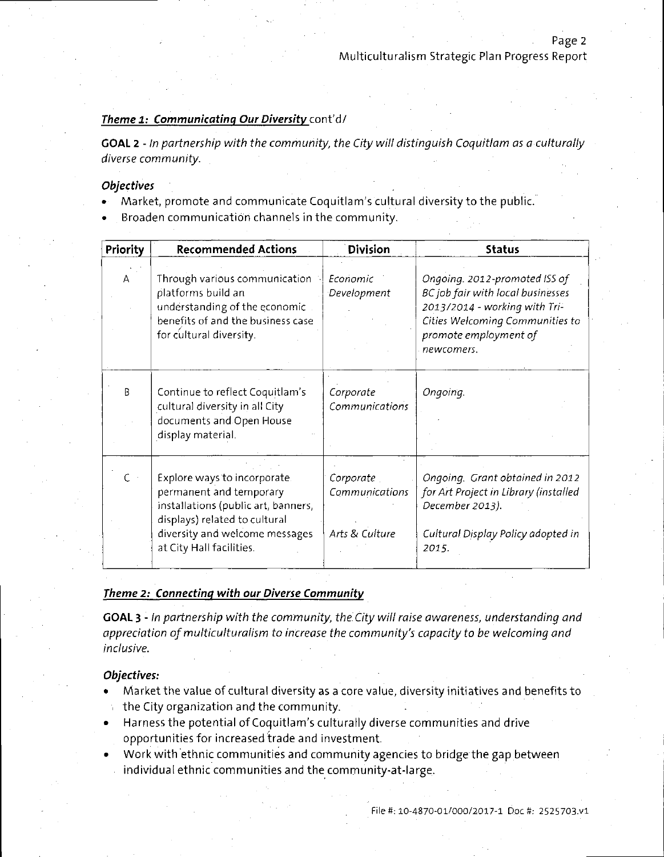Page 2

#### Theme 1: Communicating Our Diversity cont'd/

GOAL 2 - In partnership with the community, the City will distinguish Coquitiam as a culturally diverse community.

#### **Objectives**

- Market, promote and communicate Coquitlam's cultural diversity to the public.
- Broaden communication channels in the community.

| Priority       | <b>Recommended Actions</b>                                                                                                                                                                    | <b>Division</b>                               | <b>Status</b>                                                                                                                                                                 |
|----------------|-----------------------------------------------------------------------------------------------------------------------------------------------------------------------------------------------|-----------------------------------------------|-------------------------------------------------------------------------------------------------------------------------------------------------------------------------------|
| А              | Through various communication<br>platforms build an<br>understanding of the economic<br>benefits of and the business case<br>for cultural diversity.                                          | Economic<br>Development                       | Ongoing. 2012-promoted ISS of<br>BC job fair with local businesses<br>2013/2014 - working with Tri-<br>Cities Welcoming Communities to<br>promote employment of<br>newcomers. |
| B              | Continue to reflect Coquitlam's<br>cultural diversity in all City<br>documents and Open House<br>display material.                                                                            | Corporate<br>Communications                   | Ongoing.                                                                                                                                                                      |
| $\mathsf{C}$ . | Explore ways to incorporate.<br>permanent and temporary<br>installations (public art, banners,<br>displays) related to cultural<br>diversity and welcome messages<br>at City Hall facilities. | Corporate<br>Communications<br>Arts & Culture | Ongoing. Grant obtained in 2012<br>for Art Project in Library (installed<br>December 2013).<br>Cultural Display Policy adopted in<br>2015.                                    |

### **Theme 2: Connecting with our Diverse Communitv**

GOAL 3 - In partnership with the community, the City will raise awareness, understanding and appreciation of multiculturalism to increase the community's capacity to be welcoming and inclusive.

#### **Objectives:**

- Market the value of cultural diversity as a core value, diversity initiatives and benefits to the City organization and the community.
- Harness the potential of Coquitlam's culturally diverse communities and drive opportunities for increased trade and investment.
- Work with ethnic communities and community agencies to bridge the gap between individual ethnic communities and the community-at-large.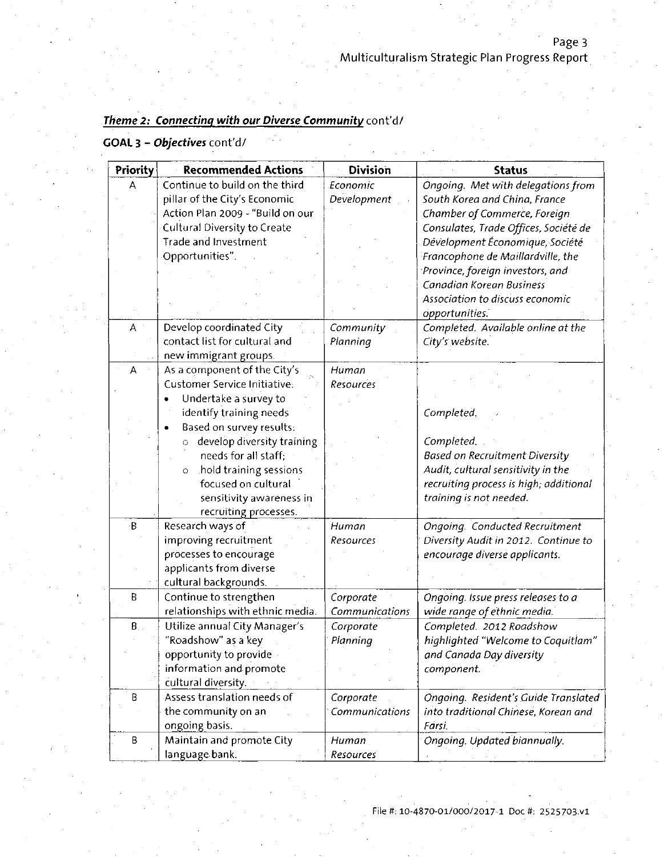# Theme 2: Connecting with our Diverse Community cont'd/

## GOAL 3 - Objectives cont'd/

| Priority      | <b>Recommended Actions</b>          | <b>Division</b> | <b>Status</b>                          |
|---------------|-------------------------------------|-----------------|----------------------------------------|
| А             | Continue to build on the third      | Economic        | Ongoing. Met with delegations from     |
|               | pillar of the City's Economic       | Development     | South Korea and China, France          |
|               | Action Plan 2009 - "Build on our    |                 | Chamber of Commerce, Foreign           |
|               | <b>Cultural Diversity to Create</b> |                 | Consulates, Trade Offices, Société de  |
|               | <b>Trade and Investment</b>         |                 | Dévelopment Économique, Société        |
|               | Opportunities".                     |                 | Francophone de Maillardville, the      |
|               |                                     |                 | Province, foreign investors, and       |
|               |                                     |                 | Canadian Korean Business               |
|               |                                     |                 | Association to discuss economic        |
|               |                                     |                 | opportunities.                         |
| A             | Develop coordinated City            | Community       | Completed. Available online at the     |
|               | contact list for cultural and       | Planning        | City's website.                        |
|               | new immigrant groups.               |                 |                                        |
| А             | As a component of the City's        | Human           |                                        |
|               | Customer Service Initiative:        | Resources       |                                        |
|               | Undertake a survey to               |                 |                                        |
|               | identify training needs             |                 | Completed.                             |
|               | Based on survey results:            |                 |                                        |
|               | develop diversity training<br>Ō     |                 | Completed.                             |
|               | needs for all staff:                |                 | <b>Based on Recruitment Diversity</b>  |
|               | hold training sessions<br>$\circ$   |                 | Audit, cultural sensitivity in the     |
|               | focused on cultural                 |                 | recruiting process is high; additional |
|               | sensitivity awareness in            |                 | training is not needed.                |
|               | recruiting processes.               |                 |                                        |
| ۰B            | Research ways of                    | Human           | Ongoing. Conducted Recruitment         |
|               | improving recruitment               | Resources       | Diversity Audit in 2012. Continue to   |
|               | processes to encourage              |                 | encourage diverse applicants.          |
|               | applicants from diverse             |                 |                                        |
|               | cultural backgrounds.               |                 |                                        |
| B             | Continue to strengthen              | Corporate       | Ongoing. Issue press releases to a     |
|               | relationships with ethnic media.    | Communications  | wide range of ethnic media.            |
| $B_{\cdot}$ . | Utilize annual City Manager's       | Corporate       | Completed. 2012 Roadshow               |
|               | "Roadshow" as a key                 | Planning        | highlighted "Welcome to Coquitlam"     |
|               | opportunity to provide              |                 | and Canada Day diversity               |
|               | information and promote             |                 | component.                             |
|               | cultural diversity.                 |                 |                                        |
| B             | Assess translation needs of         | Corporate       | Ongoing. Resident's Guide Translated   |
|               | the community on an                 | Communications  | into traditional Chinese, Korean and   |
|               | ongoing basis.                      |                 | Farsi.                                 |
| В             | Maintain and promote City           | Human           | Ongoing. Updated biannually.           |
|               | language bank.                      | Resources       |                                        |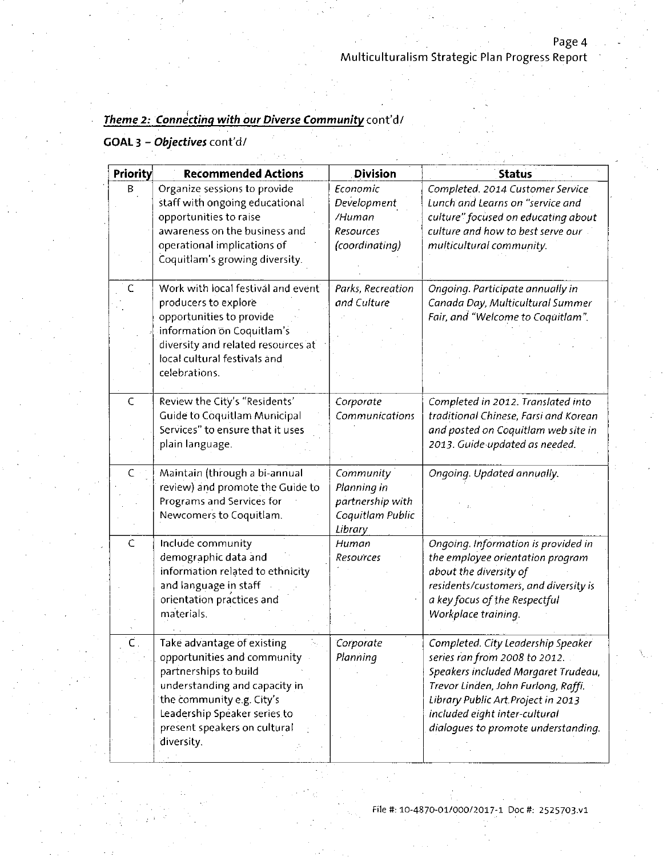# Theme 2: Connecting with our Diverse Community cont'd/

# GOAL 3 - Objectives cont'd/

| Priority       | <b>Recommended Actions</b>                                | <b>Division</b>   | <b>Status</b>                                                       |
|----------------|-----------------------------------------------------------|-------------------|---------------------------------------------------------------------|
| В              | Organize sessions to provide                              | Economic          | Completed. 2014 Customer Service                                    |
|                | staff with ongoing educational                            | Development       | Lunch and Learns on "service and                                    |
|                | opportunities to raise                                    | /Human            | culture" focused on educating about                                 |
|                | awareness on the business and                             | Resources         | culture and how to best serve our                                   |
|                | operational implications of                               | (coordinating)    | multicultural community.                                            |
|                | Coquitlam's growing diversity.                            |                   |                                                                     |
|                |                                                           |                   |                                                                     |
| C              | Work with local festival and event                        | Parks, Recreation | Ongoing. Participate annually in                                    |
|                | producers to explore                                      | and Culture       | Canada Day, Multicultural Summer                                    |
|                | opportunities to provide                                  |                   | Fair, and "Welcome to Coquitlam".                                   |
|                | information on Coquitlam's                                |                   |                                                                     |
|                | diversity and related resources at                        |                   |                                                                     |
|                | local cultural festivals and                              |                   |                                                                     |
|                | celebrations.                                             |                   |                                                                     |
|                |                                                           |                   |                                                                     |
| $\overline{C}$ | Review the City's "Residents'                             | Corporate         | Completed in 2012. Translated into                                  |
|                | <b>Guide to Coquitlam Municipal</b>                       | Communications    | traditional Chinese, Farsi and Korean                               |
|                | Services" to ensure that it uses                          |                   | and posted on Coquitlam web site in                                 |
|                | plain language.                                           |                   | 2013. Guide updated as needed.                                      |
|                |                                                           |                   |                                                                     |
| C.             | Maintain (through a bi-annual                             | Community         | Ongoing. Updated annually.                                          |
|                | review) and promote the Guide to                          | Planning in       |                                                                     |
|                | Programs and Services for                                 | partnership with  |                                                                     |
|                | Newcomers to Coquitlam.                                   | Coquitlam Public  |                                                                     |
|                |                                                           | Library           |                                                                     |
| C              | Include community                                         | Human             | Ongoing. Information is provided in                                 |
|                | demographic data and                                      | Resources         | the employee orientation program                                    |
|                | information related to ethnicity                          |                   | about the diversity of                                              |
|                | and language in staff                                     |                   | residents/customers, and diversity is                               |
|                | orientation practices and                                 |                   | a key focus of the Respectful                                       |
|                | materials.                                                |                   | Workplace training.                                                 |
|                |                                                           | Corporate         |                                                                     |
|                | Take advantage of existing                                |                   | Completed. City Leadership Speaker                                  |
|                | opportunities and community                               | Planning          | series ran from 2008 to 2012.                                       |
|                | partnerships to build                                     |                   | Speakers included Margaret Trudeau,                                 |
|                | understanding and capacity in                             |                   | Trevor Linden, John Furlong, Raffi.                                 |
|                | the community e.g. City's<br>Leadership Speaker series to |                   | Library Public Art Project in 2013<br>included eight inter-cultural |
|                | present speakers on cultural                              |                   | dialoques to promote understanding.                                 |
|                | diversity.                                                |                   |                                                                     |
|                |                                                           |                   |                                                                     |
|                |                                                           |                   |                                                                     |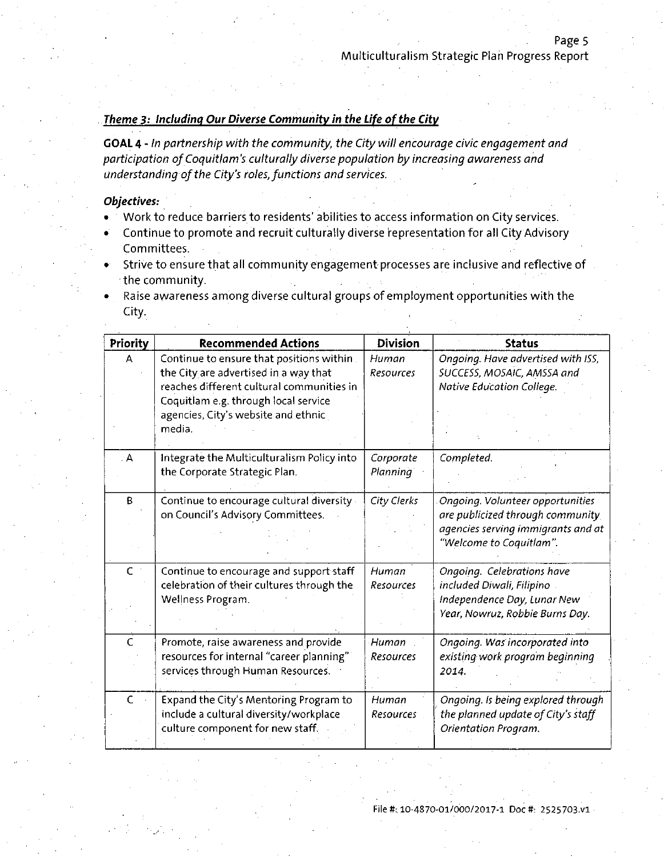#### **Theme 3: Including Our Diverse Community in the Life of the City**

GOAL 4 - In partnership with the community, the City will encourage civic engagement and participation of Coquitlam's culturally diverse population by increasing awareness and understanding of the City's roles, functions and services.

#### **Objectives:**

- Work to reduce barriers to residents'abilities to access information on City services.
- Continue to promote and recruit culturally diverse representation for all City Advisory Committees.
- Strive to ensure that all community engagement processes are inclusive and reflective of the community.
- Raise awareness among diverse cultural groups of employment opportunities with the **City.** The contract of the contract of the contract of the contract of the contract of the contract of the contract of the contract of the contract of the contract of the contract of the contract of the contract of the co

|                   | <b>Recommended Actions</b>                 | <b>Division</b>  | <b>Status</b>                      |
|-------------------|--------------------------------------------|------------------|------------------------------------|
| Priority          |                                            |                  |                                    |
| A                 | Continue to ensure that positions within.  | Human            | Ongoing. Have advertised with ISS, |
|                   | the City are advertised in a way that      | <b>Resources</b> | SUCCESS, MOSAIC, AMSSA and         |
|                   | reaches different cultural communities in  |                  | Native Education College.          |
|                   | Coquitlam e.g. through local service       |                  |                                    |
|                   | agencies, City's website and ethnic        |                  |                                    |
|                   | media.                                     |                  |                                    |
|                   |                                            |                  |                                    |
| $\mathbf{A}$      | Integrate the Multiculturalism Policy into | Corporate        | Completed.                         |
|                   | the Corporate Strategic Plan.              | <b>Planning</b>  |                                    |
|                   |                                            |                  |                                    |
| B                 | Continue to encourage cultural diversity - | City Clerks      | Ongoing. Volunteer opportunities   |
|                   | on Council's Advisory Committees.          |                  | are publicized through community.  |
|                   |                                            |                  | agencies serving immigrants and at |
|                   |                                            |                  | "Welcome to Coquitlam".            |
|                   |                                            |                  |                                    |
| $\mathsf{C}^{-1}$ | Continue to encourage and support staff    | Human            | Ongoing. Celebrations have         |
|                   | celebration of their cultures through the  | Resources        | included Diwali, Filipino          |
|                   | Wellness Program.                          |                  | Independence Day, Lunar New        |
|                   |                                            |                  | Year, Nowruz, Robbie Burns Day.    |
|                   |                                            |                  |                                    |
| $\mathcal{C}$     | Promote, raise awareness and provide       | Human            | Ongoing. Was incorporated into     |
|                   | resources for internal "career planning"   | Resources        | existing work program beginning    |
|                   | services through Human Resources.          |                  | 2014.                              |
|                   |                                            |                  |                                    |
| $\mathsf{C}$      | Expand the City's Mentoring Program to     | Human            | Ongoing. Is being explored through |
|                   | include a cultural diversity/workplace     | Resources        | the planned update of City's staff |
|                   | culture component for new staff.           |                  | Orientation Program.               |
|                   |                                            |                  |                                    |